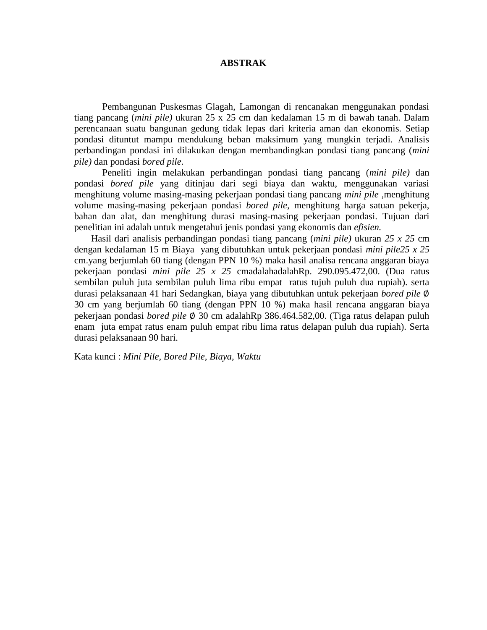## **ABSTRAK**

Pembangunan Puskesmas Glagah, Lamongan di rencanakan menggunakan pondasi tiang pancang (*mini pile)* ukuran 25 x 25 cm dan kedalaman 15 m di bawah tanah. Dalam perencanaan suatu bangunan gedung tidak lepas dari kriteria aman dan ekonomis. Setiap pondasi dituntut mampu mendukung beban maksimum yang mungkin terjadi. Analisis perbandingan pondasi ini dilakukan dengan membandingkan pondasi tiang pancang (*mini pile)* dan pondasi *bored pile*.

Peneliti ingin melakukan perbandingan pondasi tiang pancang (*mini pile)* dan pondasi *bored pile* yang ditinjau dari segi biaya dan waktu, menggunakan variasi menghitung volume masing-masing pekerjaan pondasi tiang pancang *mini pile* ,menghitung volume masing-masing pekerjaan pondasi *bored pile,* menghitung harga satuan pekerja, bahan dan alat, dan menghitung durasi masing-masing pekerjaan pondasi. Tujuan dari penelitian ini adalah untuk mengetahui jenis pondasi yang ekonomis dan *efisien.*

Hasil dari analisis perbandingan pondasi tiang pancang (*mini pile)* ukuran *25 x 25* cm dengan kedalaman 15 m Biaya yang dibutuhkan untuk pekerjaan pondasi *mini pile25 x 25*  cm.yang berjumlah 60 tiang (dengan PPN 10 %) maka hasil analisa rencana anggaran biaya pekerjaan pondasi *mini pile 25 x 25* cmadalahadalahRp. 290.095.472,00. (Dua ratus sembilan puluh juta sembilan puluh lima ribu empat ratus tujuh puluh dua rupiah). serta durasi pelaksanaan 41 hari Sedangkan, biaya yang dibutuhkan untuk pekerjaan *bored pile*  30 cm yang berjumlah 60 tiang (dengan PPN 10 %) maka hasil rencana anggaran biaya pekerjaan pondasi *bored pile* 30 cm adalahRp 386.464.582,00. (Tiga ratus delapan puluh enam juta empat ratus enam puluh empat ribu lima ratus delapan puluh dua rupiah). Serta durasi pelaksanaan 90 hari.

Kata kunci : *Mini Pile, Bored Pile, Biaya, Waktu*